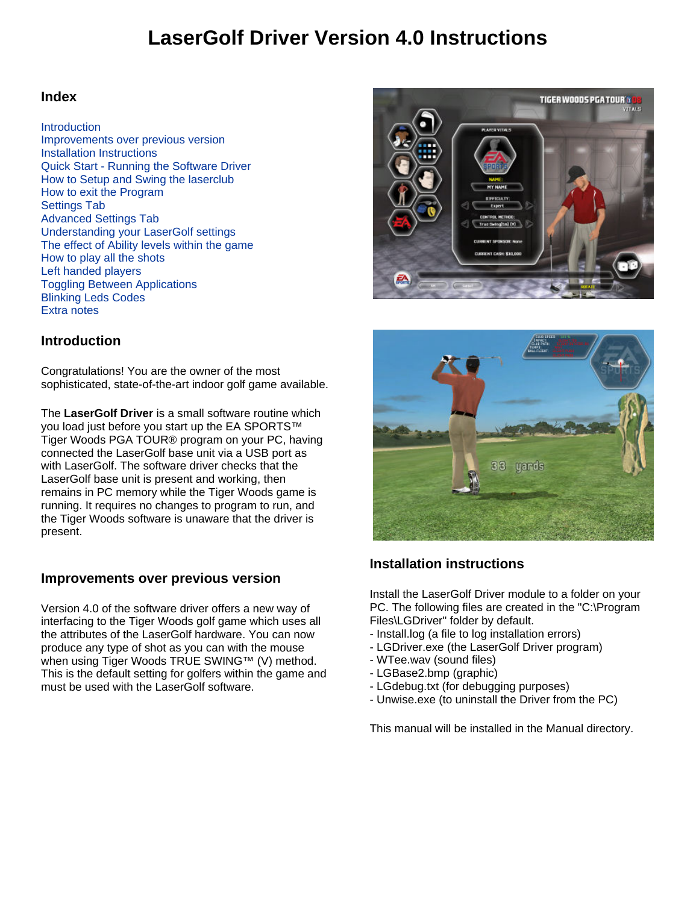# **LaserGolf Driver Version 4.0 Instructions**

### **Index**

#### **Introduction**

Improvements over previous version Installation Instructions Quick Start - Running the Software Driver How to Setup and Swing the laserclub How to exit the Program Settings Tab Advanced Settings Tab Understanding your LaserGolf settings The effect of Ability levels within the game How to play all the shots Left handed players Toggling Between Applications Blinking Leds Codes Extra notes

### **Introduction**

Congratulations! You are the owner of the most sophisticated, state-of-the-art indoor golf game available.

The **LaserGolf Driver** is a small software routine which you load just before you start up the EA SPORTS™ Tiger Woods PGA TOUR® program on your PC, having connected the LaserGolf base unit via a USB port as with LaserGolf. The software driver checks that the LaserGolf base unit is present and working, then remains in PC memory while the Tiger Woods game is running. It requires no changes to program to run, and the Tiger Woods software is unaware that the driver is present.

### **Improvements over previous version**

Version 4.0 of the software driver offers a new way of interfacing to the Tiger Woods golf game which uses all the attributes of the LaserGolf hardware. You can now produce any type of shot as you can with the mouse when using Tiger Woods TRUE SWING™ (V) method. This is the default setting for golfers within the game and must be used with the LaserGolf software.





### **Installation instructions**

Install the LaserGolf Driver module to a folder on your PC. The following files are created in the "C:\Program Files\LGDriver" folder by default.

- Install.log (a file to log installation errors)
- LGDriver.exe (the LaserGolf Driver program)
- WTee.wav (sound files)
- LGBase2.bmp (graphic)
- LGdebug.txt (for debugging purposes)
- Unwise.exe (to uninstall the Driver from the PC)

This manual will be installed in the Manual directory.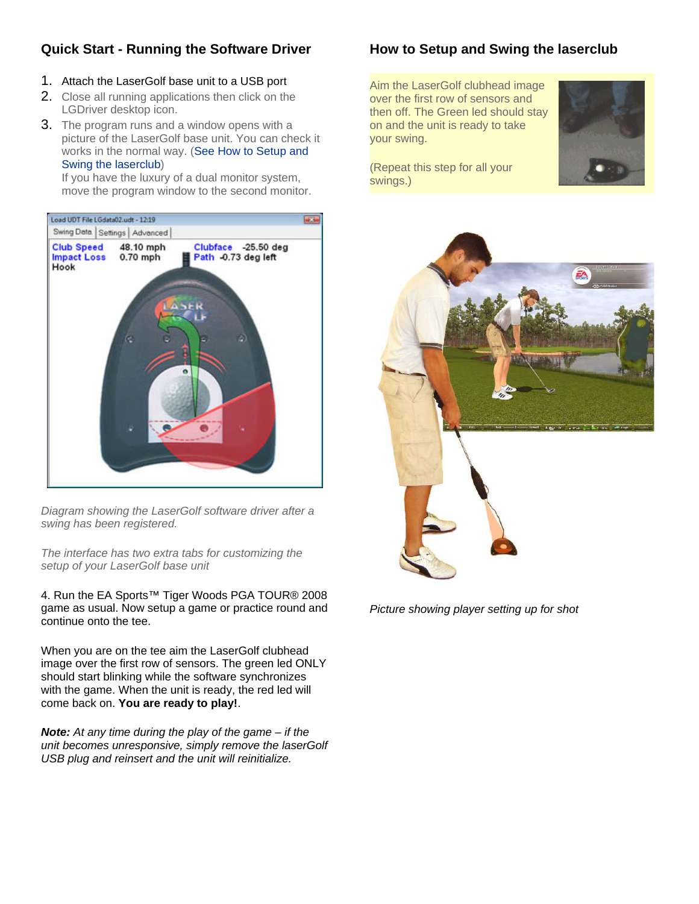# **Quick Start - Running the Software Driver**

- 1. Attach the LaserGolf base unit to a USB port
- 2. Close all running applications then click on the LGDriver desktop icon.
- 3. The program runs and a window opens with a picture of the LaserGolf base unit. You can check it works in the normal way. (See How to Setup and Swing the laserclub)

If you have the luxury of a dual monitor system, move the program window to the second monitor.



*Diagram showing the LaserGolf software driver after a swing has been registered.*

*The interface has two extra tabs for customizing the setup of your LaserGolf base unit*

4. Run the EA Sports™ Tiger Woods PGA TOUR® 2008 game as usual. Now setup a game or practice round and continue onto the tee.

When you are on the tee aim the LaserGolf clubhead image over the first row of sensors. The green led ONLY should start blinking while the software synchronizes with the game. When the unit is ready, the red led will come back on. **You are ready to play!**.

*Note: At any time during the play of the game – if the unit becomes unresponsive, simply remove the laserGolf USB plug and reinsert and the unit will reinitialize.*

# **How to Setup and Swing the laserclub**

Aim the LaserGolf clubhead image over the first row of sensors and then off. The Green led should stay on and the unit is ready to take your swing.



(Repeat this step for all your swings.)



*Picture showing player setting up for shot*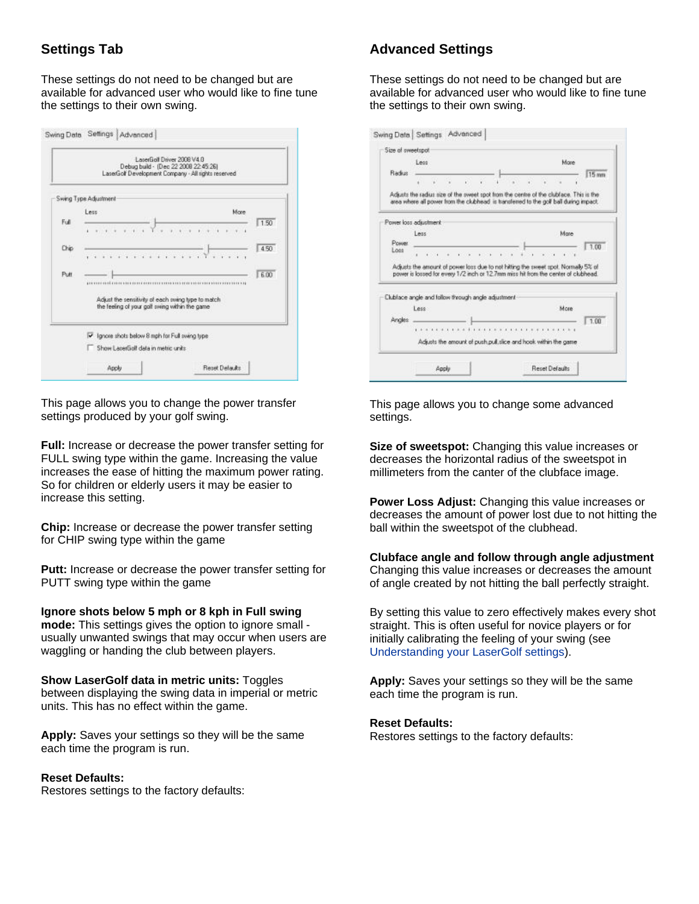# **Settings Tab**

These settings do not need to be changed but are available for advanced user who would like to fine tune the settings to their own swing.

|      |                                                                                                      | LaserGolf Driver 2008 V4.0<br>Debug build - (Dec 22 2008 22:45:26)<br>LaserGolf Development Company - All rights reserved |      |
|------|------------------------------------------------------------------------------------------------------|---------------------------------------------------------------------------------------------------------------------------|------|
|      | Swing Type Adjustment                                                                                |                                                                                                                           |      |
|      | Less                                                                                                 | More                                                                                                                      |      |
| Full |                                                                                                      |                                                                                                                           | 1.50 |
| Chip |                                                                                                      |                                                                                                                           | 4.50 |
|      | .                                                                                                    |                                                                                                                           |      |
| Putt |                                                                                                      |                                                                                                                           | 6.00 |
|      | Adjust the sensitivity of each swing type to match<br>the feeling of your golf swing within the game |                                                                                                                           |      |
|      | I Ignore shots below 8 mph for Full swing type                                                       |                                                                                                                           |      |
|      | Show LacerGoll data in metric units                                                                  |                                                                                                                           |      |
|      | Apply                                                                                                | Reset Delaults                                                                                                            |      |

This page allows you to change the power transfer settings produced by your golf swing.

**Full:** Increase or decrease the power transfer setting for FULL swing type within the game. Increasing the value increases the ease of hitting the maximum power rating. So for children or elderly users it may be easier to increase this setting.

**Chip:** Increase or decrease the power transfer setting for CHIP swing type within the game

**Putt:** Increase or decrease the power transfer setting for PUTT swing type within the game

**Ignore shots below 5 mph or 8 kph in Full swing mode:** This settings gives the option to ignore small usually unwanted swings that may occur when users are waggling or handing the club between players.

#### **Show LaserGolf data in metric units:** Toggles

between displaying the swing data in imperial or metric units. This has no effect within the game.

**Apply:** Saves your settings so they will be the same each time the program is run.

#### **Reset Defaults:**

Restores settings to the factory defaults:

### **Advanced Settings**

These settings do not need to be changed but are available for advanced user who would like to fine tune the settings to their own swing.

|                | Size of sweetspot<br>Less                           |                                                                |    |  |  | More |                                                                                                                                                                                 |
|----------------|-----------------------------------------------------|----------------------------------------------------------------|----|--|--|------|---------------------------------------------------------------------------------------------------------------------------------------------------------------------------------|
| Radius         |                                                     |                                                                |    |  |  |      | 15 mm                                                                                                                                                                           |
|                |                                                     |                                                                | ×. |  |  |      |                                                                                                                                                                                 |
|                |                                                     |                                                                |    |  |  |      | Adjusts the radius size of the sweet spot from the centre of the clubface. This is the<br>area where all power from the clubhead is transferred to the golf ball during impact. |
|                | Power loss adjustment                               |                                                                |    |  |  |      |                                                                                                                                                                                 |
|                | Less                                                |                                                                |    |  |  | Mate |                                                                                                                                                                                 |
| Power.<br>Loss |                                                     |                                                                |    |  |  |      |                                                                                                                                                                                 |
|                | $\mathbf{r}$                                        |                                                                |    |  |  |      | 1.00                                                                                                                                                                            |
|                |                                                     |                                                                |    |  |  |      | Adjusts the amount of power loss due to not hitting the sweet spot. Normally 5% of<br>power is lossed for every 1/2 inch or 12.7mm miss hit from the center of clubinead.       |
|                | Clublace angle and follow through angle adjustment- |                                                                |    |  |  |      |                                                                                                                                                                                 |
|                | Less:                                               |                                                                |    |  |  | More |                                                                                                                                                                                 |
| Angles         |                                                     |                                                                |    |  |  |      | 1.00                                                                                                                                                                            |
|                |                                                     |                                                                |    |  |  |      |                                                                                                                                                                                 |
|                |                                                     | Adjusts the amount of push.pull.slice and hook within the game |    |  |  |      |                                                                                                                                                                                 |

This page allows you to change some advanced settings.

**Size of sweetspot:** Changing this value increases or decreases the horizontal radius of the sweetspot in millimeters from the canter of the clubface image.

**Power Loss Adjust:** Changing this value increases or decreases the amount of power lost due to not hitting the ball within the sweetspot of the clubhead.

**Clubface angle and follow through angle adjustment** Changing this value increases or decreases the amount of angle created by not hitting the ball perfectly straight.

By setting this value to zero effectively makes every shot straight. This is often useful for novice players or for initially calibrating the feeling of your swing (see Understanding your LaserGolf settings).

**Apply:** Saves your settings so they will be the same each time the program is run.

#### **Reset Defaults:**

Restores settings to the factory defaults: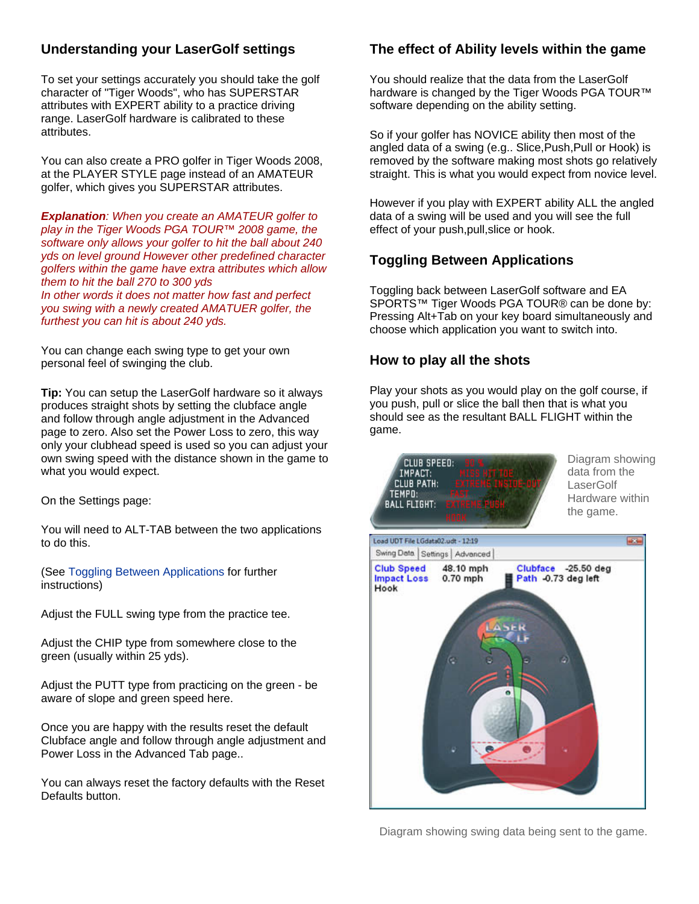# **Understanding your LaserGolf settings**

To set your settings accurately you should take the golf character of "Tiger Woods", who has SUPERSTAR attributes with EXPERT ability to a practice driving range. LaserGolf hardware is calibrated to these attributes.

You can also create a PRO golfer in Tiger Woods 2008, at the PLAYER STYLE page instead of an AMATEUR golfer, which gives you SUPERSTAR attributes.

*Explanation: When you create an AMATEUR golfer to play in the Tiger Woods PGA TOUR™ 2008 game, the software only allows your golfer to hit the ball about 240 yds on level ground However other predefined character golfers within the game have extra attributes which allow them to hit the ball 270 to 300 yds In other words it does not matter how fast and perfect you swing with a newly created AMATUER golfer, the furthest you can hit is about 240 yds.*

You can change each swing type to get your own personal feel of swinging the club.

**Tip:** You can setup the LaserGolf hardware so it always produces straight shots by setting the clubface angle and follow through angle adjustment in the Advanced page to zero. Also set the Power Loss to zero, this way only your clubhead speed is used so you can adjust your own swing speed with the distance shown in the game to what you would expect.

On the Settings page:

You will need to ALT-TAB between the two applications to do this.

(See Toggling Between Applications for further instructions)

Adjust the FULL swing type from the practice tee.

Adjust the CHIP type from somewhere close to the green (usually within 25 yds).

Adjust the PUTT type from practicing on the green - be aware of slope and green speed here.

Once you are happy with the results reset the default Clubface angle and follow through angle adjustment and Power Loss in the Advanced Tab page..

You can always reset the factory defaults with the Reset Defaults button.

# **The effect of Ability levels within the game**

You should realize that the data from the LaserGolf hardware is changed by the Tiger Woods PGA TOUR™ software depending on the ability setting.

So if your golfer has NOVICE ability then most of the angled data of a swing (e.g.. Slice,Push,Pull or Hook) is removed by the software making most shots go relatively straight. This is what you would expect from novice level.

However if you play with EXPERT ability ALL the angled data of a swing will be used and you will see the full effect of your push,pull,slice or hook.

### **Toggling Between Applications**

Toggling back between LaserGolf software and EA SPORTS™ Tiger Woods PGA TOUR® can be done by: Pressing Alt+Tab on your key board simultaneously and choose which application you want to switch into.

### **How to play all the shots**

Play your shots as you would play on the golf course, if you push, pull or slice the ball then that is what you should see as the resultant BALL FLIGHT within the game.



Diagram showing swing data being sent to the game.